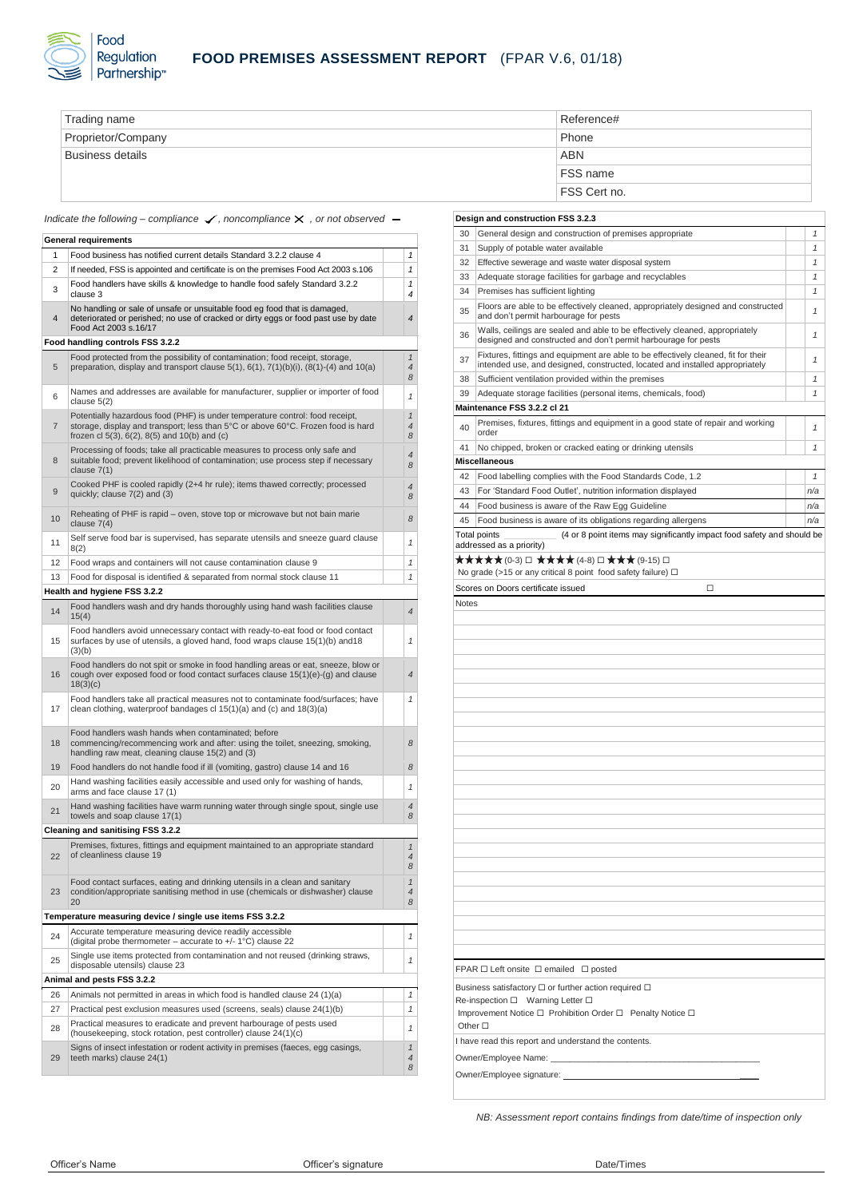

| Trading name            | Reference#      |
|-------------------------|-----------------|
| Proprietor/Company      | Phone           |
| <b>Business details</b> | <b>ABN</b>      |
|                         | <b>FSS name</b> |
|                         | FSS Cert no.    |

*Indicate the following – compliance √, noncompliance ×, or not observed –* 

|                                          | <b>General requirements</b>                                                                                                                                                                                                  |                                      |  |
|------------------------------------------|------------------------------------------------------------------------------------------------------------------------------------------------------------------------------------------------------------------------------|--------------------------------------|--|
| 1                                        | Food business has notified current details Standard 3.2.2 clause 4                                                                                                                                                           | 1                                    |  |
| 2                                        | If needed, FSS is appointed and certificate is on the premises Food Act 2003 s.106                                                                                                                                           | 1                                    |  |
| 3                                        | Food handlers have skills & knowledge to handle food safely Standard 3.2.2<br>clause 3                                                                                                                                       | 1<br>4                               |  |
| 4                                        | No handling or sale of unsafe or unsuitable food eg food that is damaged,<br>deteriorated or perished; no use of cracked or dirty eggs or food past use by date<br>Food Act 2003 s.16/17                                     | 4                                    |  |
|                                          | Food handling controls FSS 3.2.2                                                                                                                                                                                             |                                      |  |
| 5                                        | Food protected from the possibility of contamination; food receipt, storage,<br>preparation, display and transport clause $5(1)$ , $6(1)$ , $7(1)(b)(i)$ , $(8(1)-(4)$ and $10(a)$                                           | $\mathcal{I}$<br>$\overline{4}$<br>8 |  |
| 6                                        | Names and addresses are available for manufacturer, supplier or importer of food<br>clause $5(2)$                                                                                                                            | 1                                    |  |
| $\overline{7}$                           | Potentially hazardous food (PHF) is under temperature control: food receipt,<br>storage, display and transport; less than 5°C or above 60°C. Frozen food is hard<br>frozen cl $5(3)$ , $6(2)$ , $8(5)$ and $10(b)$ and $(c)$ | $\mathbf{1}$<br>$\overline{4}$<br>8  |  |
| 8                                        | Processing of foods; take all practicable measures to process only safe and<br>suitable food; prevent likelihood of contamination; use process step if necessary<br>clause $7(1)$                                            | $\overline{4}$<br>8                  |  |
| 9                                        | Cooked PHF is cooled rapidly (2+4 hr rule); items thawed correctly; processed<br>quickly; clause 7(2) and (3)                                                                                                                | 4<br>8                               |  |
| 10                                       | Reheating of PHF is rapid – oven, stove top or microwave but not bain marie<br>clause $7(4)$                                                                                                                                 | 8                                    |  |
| 11                                       | Self serve food bar is supervised, has separate utensils and sneeze guard clause<br>8(2)                                                                                                                                     | 1                                    |  |
| 12                                       | Food wraps and containers will not cause contamination clause 9                                                                                                                                                              | 1                                    |  |
| 13                                       | Food for disposal is identified & separated from normal stock clause 11                                                                                                                                                      | 1                                    |  |
|                                          | Health and hygiene FSS 3.2.2                                                                                                                                                                                                 |                                      |  |
| 14                                       | Food handlers wash and dry hands thoroughly using hand wash facilities clause<br>15(4)                                                                                                                                       | $\overline{4}$                       |  |
| 15                                       | Food handlers avoid unnecessary contact with ready-to-eat food or food contact<br>surfaces by use of utensils, a gloved hand, food wraps clause 15(1)(b) and 18<br>(3)(b)                                                    | $\mathbf{1}$                         |  |
| 16                                       | Food handlers do not spit or smoke in food handling areas or eat, sneeze, blow or<br>cough over exposed food or food contact surfaces clause $15(1)(e)-(g)$ and clause<br>18(3)(c)                                           | $\overline{4}$                       |  |
| 17                                       | Food handlers take all practical measures not to contaminate food/surfaces; have<br>clean clothing, waterproof bandages cl $15(1)(a)$ and (c) and $18(3)(a)$                                                                 | 1                                    |  |
| 18                                       | Food handlers wash hands when contaminated; before<br>commencing/recommencing work and after: using the toilet, sneezing, smoking,<br>handling raw meat, cleaning clause 15(2) and (3)                                       | 8                                    |  |
| 19                                       | Food handlers do not handle food if ill (vomiting, gastro) clause 14 and 16                                                                                                                                                  | 8                                    |  |
| 20                                       | Hand washing facilities easily accessible and used only for washing of hands,<br>arms and face clause 17 (1)                                                                                                                 | $\mathcal{I}$                        |  |
| 21                                       | Hand washing facilities have warm running water through single spout, single use<br>towels and soap clause 17(1)                                                                                                             | $\overline{4}$<br>8                  |  |
| <b>Cleaning and sanitising FSS 3.2.2</b> |                                                                                                                                                                                                                              |                                      |  |
| 22                                       | Premises, fixtures, fittings and equipment maintained to an appropriate standard<br>of cleanliness clause 19                                                                                                                 | $\mathcal{I}$<br>$\overline{4}$<br>8 |  |
| 23                                       | Food contact surfaces, eating and drinking utensils in a clean and sanitary<br>condition/appropriate sanitising method in use (chemicals or dishwasher) clause<br>20                                                         | $\mathcal I$<br>4<br>8               |  |
|                                          | Temperature measuring device / single use items FSS 3.2.2                                                                                                                                                                    |                                      |  |
| 24                                       | Accurate temperature measuring device readily accessible<br>(digital probe thermometer – accurate to $+/- 1$ °C) clause 22                                                                                                   | 1                                    |  |
| 25                                       | Single use items protected from contamination and not reused (drinking straws,<br>disposable utensils) clause 23                                                                                                             | 1                                    |  |
|                                          | Animal and pests FSS 3.2.2                                                                                                                                                                                                   |                                      |  |
| 26                                       | Animals not permitted in areas in which food is handled clause 24 (1)(a)                                                                                                                                                     | 1                                    |  |
| 27                                       | Practical pest exclusion measures used (screens, seals) clause 24(1)(b)                                                                                                                                                      | 1                                    |  |
| 28                                       | Practical measures to eradicate and prevent harbourage of pests used<br>(housekeeping, stock rotation, pest controller) clause 24(1)(c)                                                                                      | 1                                    |  |
| 29                                       | Signs of insect infestation or rodent activity in premises (faeces, egg casings,<br>teeth marks) clause 24(1)                                                                                                                | $\mathbf{1}$<br>4<br>8               |  |

# **Design and construction FSS 3.2.3** 30 General design and construction of premises appropriate *1* 31 Supply of potable water available *1* 32 Effective sewerage and waste water disposal system *1* 33 Adequate storage facilities for garbage and recyclables *1* 34 Premises has sufficient lighting *1* 35 Floors are able to be effectively cleaned, appropriately designed and constructed Floors are able to be effectively cleaned, appropriately designed and constructed<br>| and don't permit harbourage for pests <sup>36</sup> Walls, ceilings are sealed and able to be effectively cleaned, appropriately designed and constructed and don't permit harbourage for pests *<sup>1</sup>* <sup>37</sup> Fixtures, fittings and equipment are able to be effectively cleaned, fit for their intended use, and designed, constructed, located and installed appropriately *<sup>1</sup>* 38 Sufficient ventilation provided within the premises **1** 1 39 Adequate storage facilities (personal items, chemicals, food) *1* **Maintenance FSS 3.2.2 cl 21** <sup>40</sup> Premises, fixtures, fittings and equipment in a good state of repair and working order *<sup>1</sup>* 41 No chipped, broken or cracked eating or drinking utensils *1* **Miscellaneous** 42 Food labelling complies with the Food Standards Code, 1.2 *1* 43 For 'Standard Food Outlet', nutrition information displayed *n/a* 44 Food business is aware of the Raw Egg Guideline *n/a* 45 Food business is aware of its obligations regarding allergens *n/a* Total points \_\_\_\_\_\_\_\_\_\_\_ (4 or 8 point items may significantly impact food safety and should be addressed as a priority) ★★★★★ (0-3) □ ★★★★ (4-8) □ ★★★ (9-15) □ No grade (>15 or any critical 8 point food safety failure)  $\Box$ Scores on Doors certificate issued **□** Notes FPAR ☐ Left onsite ☐ emailed ☐ posted Business satisfactory □ or further action required □ **Re-inspection □** Warning Letter □ Improvement Notice ☐ Prohibition Order ☐ Penalty Notice ☐ Other **□** I have read this report and understand the contents. Owner/Employee Name: Owner/Employee signature: \_

*NB: Assessment report contains findings from date/time of inspection only*